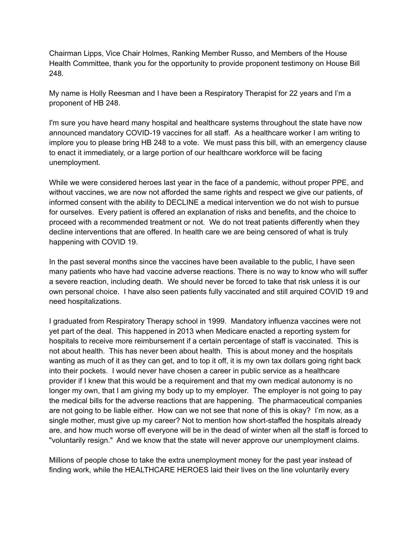Chairman Lipps, Vice Chair Holmes, Ranking Member Russo, and Members of the House Health Committee, thank you for the opportunity to provide proponent testimony on House Bill 248.

My name is Holly Reesman and I have been a Respiratory Therapist for 22 years and I'm a proponent of HB 248.

I'm sure you have heard many hospital and healthcare systems throughout the state have now announced mandatory COVID-19 vaccines for all staff. As a healthcare worker I am writing to implore you to please bring HB 248 to a vote. We must pass this bill, with an emergency clause to enact it immediately, or a large portion of our healthcare workforce will be facing unemployment.

While we were considered heroes last year in the face of a pandemic, without proper PPE, and without vaccines, we are now not afforded the same rights and respect we give our patients, of informed consent with the ability to DECLINE a medical intervention we do not wish to pursue for ourselves. Every patient is offered an explanation of risks and benefits, and the choice to proceed with a recommended treatment or not. We do not treat patients differently when they decline interventions that are offered. In health care we are being censored of what is truly happening with COVID 19.

In the past several months since the vaccines have been available to the public, I have seen many patients who have had vaccine adverse reactions. There is no way to know who will suffer a severe reaction, including death. We should never be forced to take that risk unless it is our own personal choice. I have also seen patients fully vaccinated and still arquired COVID 19 and need hospitalizations.

I graduated from Respiratory Therapy school in 1999. Mandatory influenza vaccines were not yet part of the deal. This happened in 2013 when Medicare enacted a reporting system for hospitals to receive more reimbursement if a certain percentage of staff is vaccinated. This is not about health. This has never been about health. This is about money and the hospitals wanting as much of it as they can get, and to top it off, it is my own tax dollars going right back into their pockets. I would never have chosen a career in public service as a healthcare provider if I knew that this would be a requirement and that my own medical autonomy is no longer my own, that I am giving my body up to my employer. The employer is not going to pay the medical bills for the adverse reactions that are happening. The pharmaceutical companies are not going to be liable either. How can we not see that none of this is okay? I'm now, as a single mother, must give up my career? Not to mention how short-staffed the hospitals already are, and how much worse off everyone will be in the dead of winter when all the staff is forced to "voluntarily resign." And we know that the state will never approve our unemployment claims.

Millions of people chose to take the extra unemployment money for the past year instead of finding work, while the HEALTHCARE HEROES laid their lives on the line voluntarily every